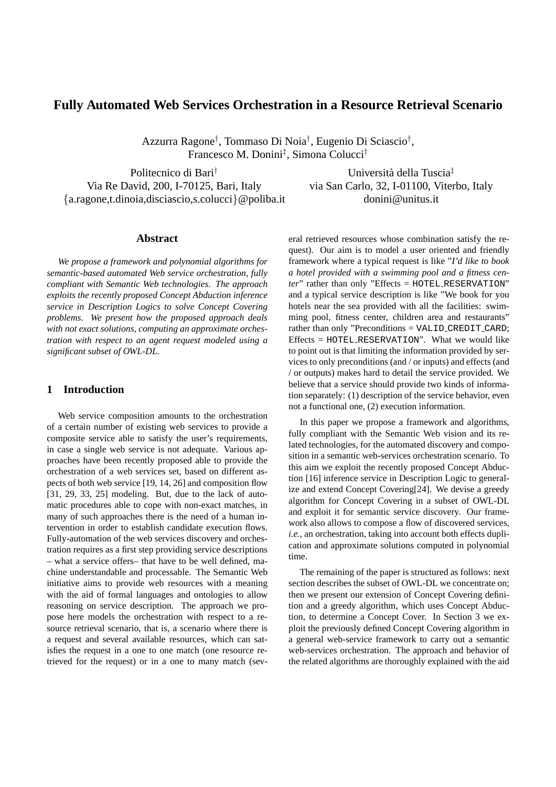# **Fully Automated Web Services Orchestration in a Resource Retrieval Scenario**

Azzurra Ragone† , Tommaso Di Noia† , Eugenio Di Sciascio† , Francesco M. Donini‡ , Simona Colucci†

Politecnico di Bari† Via Re David, 200, I-70125, Bari, Italy {a.ragone,t.dinoia,disciascio,s.colucci}@poliba.it

Università della Tuscia<sup>‡</sup> via San Carlo, 32, I-01100, Viterbo, Italy donini@unitus.it

### **Abstract**

*We propose a framework and polynomial algorithms for semantic-based automated Web service orchestration, fully compliant with Semantic Web technologies. The approach exploits the recently proposed Concept Abduction inference service in Description Logics to solve Concept Covering problems. We present how the proposed approach deals with not exact solutions, computing an approximate orchestration with respect to an agent request modeled using a significant subset of OWL-DL.*

## **1 Introduction**

Web service composition amounts to the orchestration of a certain number of existing web services to provide a composite service able to satisfy the user's requirements, in case a single web service is not adequate. Various approaches have been recently proposed able to provide the orchestration of a web services set, based on different aspects of both web service [19, 14, 26] and composition flow [31, 29, 33, 25] modeling. But, due to the lack of automatic procedures able to cope with non-exact matches, in many of such approaches there is the need of a human intervention in order to establish candidate execution flows. Fully-automation of the web services discovery and orchestration requires as a first step providing service descriptions – what a service offers– that have to be well defined, machine understandable and processable. The Semantic Web initiative aims to provide web resources with a meaning with the aid of formal languages and ontologies to allow reasoning on service description. The approach we propose here models the orchestration with respect to a resource retrieval scenario, that is, a scenario where there is a request and several available resources, which can satisfies the request in a one to one match (one resource retrieved for the request) or in a one to many match (several retrieved resources whose combination satisfy the request). Our aim is to model a user oriented and friendly framework where a typical request is like "*I'd like to book a hotel provided with a swimming pool and a fitness center*" rather than only "Effects = HOTEL RESERVATION" and a typical service description is like "We book for you hotels near the sea provided with all the facilities: swimming pool, fitness center, children area and restaurants" rather than only "Preconditions = VALID CREDIT CARD; Effects =  $HOTEL\_RESERVATION$ . What we would like to point out is that limiting the information provided by services to only preconditions (and / or inputs) and effects (and / or outputs) makes hard to detail the service provided. We believe that a service should provide two kinds of information separately: (1) description of the service behavior, even not a functional one, (2) execution information.

In this paper we propose a framework and algorithms, fully compliant with the Semantic Web vision and its related technologies, for the automated discovery and composition in a semantic web-services orchestration scenario. To this aim we exploit the recently proposed Concept Abduction [16] inference service in Description Logic to generalize and extend Concept Covering[24]. We devise a greedy algorithm for Concept Covering in a subset of OWL-DL and exploit it for semantic service discovery. Our framework also allows to compose a flow of discovered services, *i.e.*, an orchestration, taking into account both effects duplication and approximate solutions computed in polynomial time.

The remaining of the paper is structured as follows: next section describes the subset of OWL-DL we concentrate on; then we present our extension of Concept Covering definition and a greedy algorithm, which uses Concept Abduction, to determine a Concept Cover. In Section 3 we exploit the previously defined Concept Covering algorithm in a general web-service framework to carry out a semantic web-services orchestration. The approach and behavior of the related algorithms are thoroughly explained with the aid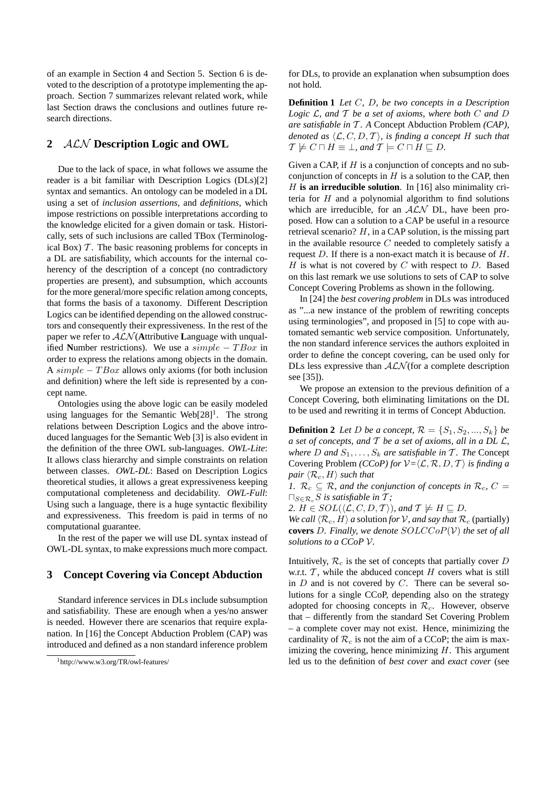of an example in Section 4 and Section 5. Section 6 is devoted to the description of a prototype implementing the approach. Section 7 summarizes relevant related work, while last Section draws the conclusions and outlines future research directions.

### **2** ALN **Description Logic and OWL**

Due to the lack of space, in what follows we assume the reader is a bit familiar with Description Logics (DLs)[2] syntax and semantics. An ontology can be modeled in a DL using a set of *inclusion assertions*, and *definitions*, which impose restrictions on possible interpretations according to the knowledge elicited for a given domain or task. Historically, sets of such inclusions are called TBox (Terminological Box)  $T$ . The basic reasoning problems for concepts in a DL are satisfiability, which accounts for the internal coherency of the description of a concept (no contradictory properties are present), and subsumption, which accounts for the more general/more specific relation among concepts, that forms the basis of a taxonomy. Different Description Logics can be identified depending on the allowed constructors and consequently their expressiveness. In the rest of the paper we refer to ALN (**A**ttributive **L**anguage with unqualified **Number restrictions).** We use a  $simple - TBox$  in order to express the relations among objects in the domain. A  $simple - TBox$  allows only axioms (for both inclusion and definition) where the left side is represented by a concept name.

Ontologies using the above logic can be easily modeled using languages for the Semantic Web $[28]$ <sup>1</sup>. The strong relations between Description Logics and the above introduced languages for the Semantic Web [3] is also evident in the definition of the three OWL sub-languages. *OWL-Lite*: It allows class hierarchy and simple constraints on relation between classes. *OWL-DL*: Based on Description Logics theoretical studies, it allows a great expressiveness keeping computational completeness and decidability. *OWL-Full*: Using such a language, there is a huge syntactic flexibility and expressiveness. This freedom is paid in terms of no computational guarantee.

In the rest of the paper we will use DL syntax instead of OWL-DL syntax, to make expressions much more compact.

### **3 Concept Covering via Concept Abduction**

Standard inference services in DLs include subsumption and satisfiability. These are enough when a yes/no answer is needed. However there are scenarios that require explanation. In [16] the Concept Abduction Problem (CAP) was introduced and defined as a non standard inference problem for DLs, to provide an explanation when subsumption does not hold.

**Definition 1** *Let* C*,* D*, be two concepts in a Description Logic* L*, and* T *be a set of axioms, where both* C *and* D *are satisfiable in* T *. A* Concept Abduction Problem *(CAP), denoted as*  $\langle \mathcal{L}, C, D, T \rangle$ *, is finding a concept H such that*  $\mathcal{T} \not\models C \sqcap H \equiv \bot$ *, and*  $\mathcal{T} \models C \sqcap H \sqsubseteq D$ *.* 

Given a CAP, if  $H$  is a conjunction of concepts and no subconjunction of concepts in  $H$  is a solution to the CAP, then H **is an irreducible solution**. In [16] also minimality criteria for  $H$  and a polynomial algorithm to find solutions which are irreducible, for an  $ALN$  DL, have been proposed. How can a solution to a CAP be useful in a resource retrieval scenario?  $H$ , in a CAP solution, is the missing part in the available resource  $C$  needed to completely satisfy a request  $D$ . If there is a non-exact match it is because of  $H$ .  $H$  is what is not covered by  $C$  with respect to  $D$ . Based on this last remark we use solutions to sets of CAP to solve Concept Covering Problems as shown in the following.

In [24] the *best covering problem* in DLs was introduced as "...a new instance of the problem of rewriting concepts using terminologies", and proposed in [5] to cope with automated semantic web service composition. Unfortunately, the non standard inference services the authors exploited in order to define the concept covering, can be used only for DLs less expressive than  $ALN$  (for a complete description see [35]).

We propose an extension to the previous definition of a Concept Covering, both eliminating limitations on the DL to be used and rewriting it in terms of Concept Abduction.

**Definition 2** Let D be a concept,  $\mathcal{R} = \{S_1, S_2, ..., S_k\}$  be *a set of concepts, and* T *be a set of axioms, all in a DL* L*, where D* and  $S_1, \ldots, S_k$  *are satisfiable in T*. *The* Concept Covering Problem *(CCoP)* for  $V = \langle \mathcal{L}, \mathcal{R}, D, \mathcal{T} \rangle$  *is finding a pair*  $\langle \mathcal{R}_c, H \rangle$  *such that* 

*1.*  $\mathcal{R}_c \subseteq \mathcal{R}$ , and the conjunction of concepts in  $\mathcal{R}_c$ ,  $C =$  $\bigcap_{S \in \mathcal{R}_c} S$  *is satisfiable in*  $\mathcal{T}$ *;* 

2.  $H \in SOL(\langle \mathcal{L}, C, D, T \rangle)$ *, and*  $T \not\models H \sqsubseteq D$ *.* 

*We call*  $\langle \mathcal{R}_c, H \rangle$  *a* solution *for V, and say that*  $\mathcal{R}_c$  (partially) **covers** D*. Finally, we denote* SOLCCoP(V) *the set of all solutions to a CCoP* V*.*

Intuitively,  $\mathcal{R}_c$  is the set of concepts that partially cover  $D$ w.r.t.  $T$ , while the abduced concept  $H$  covers what is still in  $D$  and is not covered by  $C$ . There can be several solutions for a single CCoP, depending also on the strategy adopted for choosing concepts in  $\mathcal{R}_c$ . However, observe that – differently from the standard Set Covering Problem – a complete cover may not exist. Hence, minimizing the cardinality of  $\mathcal{R}_c$  is not the aim of a CCoP; the aim is maximizing the covering, hence minimizing  $H$ . This argument led us to the definition of *best cover* and *exact cover* (see

<sup>1</sup>http://www.w3.org/TR/owl-features/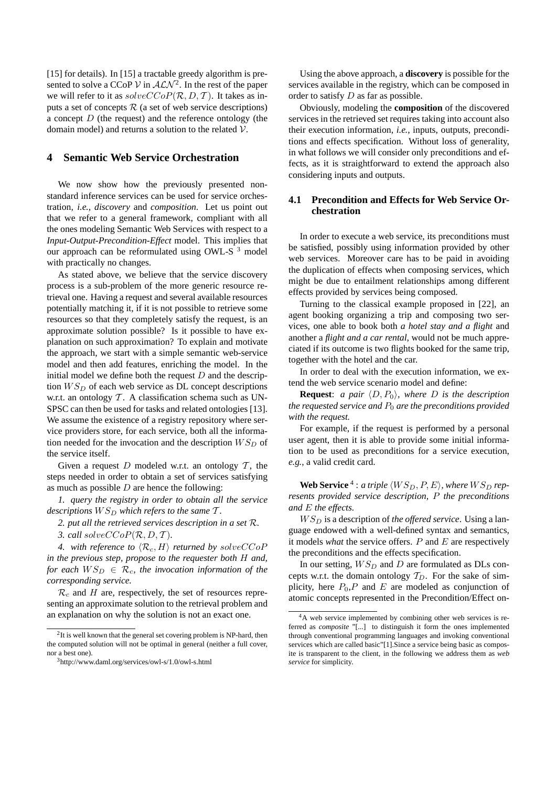[15] for details). In [15] a tractable greedy algorithm is presented to solve a CCoP V in  $ALN^2$ . In the rest of the paper we will refer to it as  $solveCCoP(\mathcal{R}, D, \mathcal{T})$ . It takes as inputs a set of concepts  $R$  (a set of web service descriptions) a concept  $D$  (the request) and the reference ontology (the domain model) and returns a solution to the related  $V$ .

### **4 Semantic Web Service Orchestration**

We now show how the previously presented nonstandard inference services can be used for service orchestration, *i.e.*, *discovery* and *composition*. Let us point out that we refer to a general framework, compliant with all the ones modeling Semantic Web Services with respect to a *Input-Output-Precondition-Effect* model. This implies that our approach can be reformulated using OWL-S  $3 \text{ model}$ with practically no changes.

As stated above, we believe that the service discovery process is a sub-problem of the more generic resource retrieval one. Having a request and several available resources potentially matching it, if it is not possible to retrieve some resources so that they completely satisfy the request, is an approximate solution possible? Is it possible to have explanation on such approximation? To explain and motivate the approach, we start with a simple semantic web-service model and then add features, enriching the model. In the initial model we define both the request  $D$  and the description  $WS_D$  of each web service as DL concept descriptions w.r.t. an ontology  $T$ . A classification schema such as UN-SPSC can then be used for tasks and related ontologies [13]. We assume the existence of a registry repository where service providers store, for each service, both all the information needed for the invocation and the description  $WS_D$  of the service itself.

Given a request D modeled w.r.t. an ontology  $\mathcal{T}$ , the steps needed in order to obtain a set of services satisfying as much as possible  $D$  are hence the following:

*1. query the registry in order to obtain all the service descriptions*  $WS_D$  *which refers to the same*  $T$ *.* 

*2. put all the retrieved services description in a set* R*.*

*3. call* solveCCoP(R, D, T )*.*

*4. with reference to*  $\langle \mathcal{R}_c, H \rangle$  *returned by solveCCoP in the previous step, propose to the requester both* H *and, for each*  $WS_D \in \mathcal{R}_c$ , the invocation information of the *corresponding service.*

 $\mathcal{R}_c$  and H are, respectively, the set of resources representing an approximate solution to the retrieval problem and an explanation on why the solution is not an exact one.

Using the above approach, a **discovery** is possible for the services available in the registry, which can be composed in order to satisfy D as far as possible.

Obviously, modeling the **composition** of the discovered services in the retrieved set requires taking into account also their execution information, *i.e.*, inputs, outputs, preconditions and effects specification. Without loss of generality, in what follows we will consider only preconditions and effects, as it is straightforward to extend the approach also considering inputs and outputs.

# **4.1 Precondition and Effects for Web Service Orchestration**

In order to execute a web service, its preconditions must be satisfied, possibly using information provided by other web services. Moreover care has to be paid in avoiding the duplication of effects when composing services, which might be due to entailment relationships among different effects provided by services being composed.

Turning to the classical example proposed in [22], an agent booking organizing a trip and composing two services, one able to book both *a hotel stay and a flight* and another a *flight and a car rental*, would not be much appreciated if its outcome is two flights booked for the same trip, together with the hotel and the car.

In order to deal with the execution information, we extend the web service scenario model and define:

**Request**: *a pair*  $\langle D, P_0 \rangle$ *, where D is the description the requested service and*  $P_0$  *are the preconditions provided with the request.*

For example, if the request is performed by a personal user agent, then it is able to provide some initial information to be used as preconditions for a service execution, *e.g.*, a valid credit card.

**Web Service** <sup>4</sup> : *a triple*  $\langle WS_D, P, E \rangle$ *, where*  $WS_D$  *represents provided service description,* P *the preconditions and* E *the effects.*

 $WS_D$  is a description of *the offered service*. Using a language endowed with a well-defined syntax and semantics, it models *what* the service offers. P and E are respectively the preconditions and the effects specification.

In our setting,  $WS_D$  and  $D$  are formulated as DLs concepts w.r.t. the domain ontology  $T_D$ . For the sake of simplicity, here  $P_0$ , P and E are modeled as conjunction of atomic concepts represented in the Precondition/Effect on-

 $2$ It is well known that the general set covering problem is NP-hard, then the computed solution will not be optimal in general (neither a full cover, nor a best one).

<sup>3</sup>http://www.daml.org/services/owl-s/1.0/owl-s.html

<sup>4</sup>A web service implemented by combining other web services is referred as *composite* "[...] to distinguish it form the ones implemented through conventional programming languages and invoking conventional services which are called basic"[1]. Since a service being basic as composite is transparent to the client, in the following we address them as *web service* for simplicity.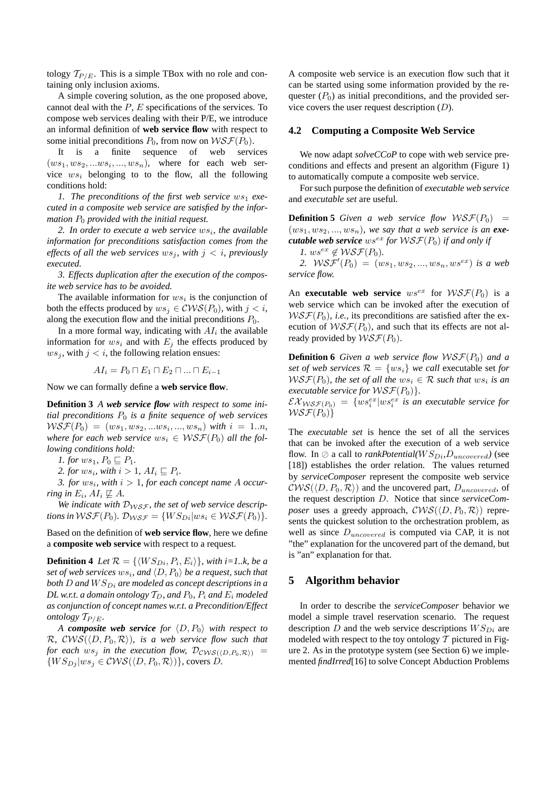tology  $T_{P/E}$ . This is a simple TBox with no role and containing only inclusion axioms.

A simple covering solution, as the one proposed above, cannot deal with the  $P$ ,  $E$  specifications of the services. To compose web services dealing with their P/E, we introduce an informal definition of **web service flow** with respect to some initial preconditions  $P_0$ , from now on  $WST(P_0)$ .

It is a finite sequence of web services  $(ws_1,ws_2,...ws_i,...,ws_n)$ , where for each web service  $ws_i$  belonging to to the flow, all the following conditions hold:

*1. The preconditions of the first web service ws<sub>1</sub> executed in a composite web service are satisfied by the information*  $P_0$  *provided with the initial request.* 

2. In order to execute a web service  $ws_i$ , the available *information for preconditions satisfaction comes from the effects of all the web services*  $ws_j$ *, with*  $j < i$ *, previously executed.*

*3. Effects duplication after the execution of the composite web service has to be avoided.*

The available information for  $ws_i$  is the conjunction of both the effects produced by  $ws_i \in \mathcal{CWS}(P_0)$ , with  $j < i$ , along the execution flow and the initial preconditions  $P_0$ .

In a more formal way, indicating with  $AI_i$  the available information for  $ws_i$  and with  $E_j$  the effects produced by  $ws_i$ , with  $j < i$ , the following relation ensues:

 $AI_i = P_0 \sqcap E_1 \sqcap E_2 \sqcap ... \sqcap E_{i-1}$ 

Now we can formally define a **web service flow**.

**Definition 3** *A web service flow with respect to some initial preconditions*  $P_0$  *is a finite sequence of web services*  $W\mathcal{S}\mathcal{F}(P_0) = (ws_1, ws_2, ...ws_i, ..., ws_n)$  with  $i = 1..n$ , *where for each web service*  $ws_i \in \mathcal{WSF}(P_0)$  *all the following conditions hold:*

*1. for*  $ws_1$ ,  $P_0 \sqsubseteq P_1$ .

2. for  $ws_i$ , with  $i > 1$ ,  $AI_i \sqsubseteq P_i$ .

3. for  $ws_i$ , with  $i > 1$ , for each concept name A occur*ring in*  $E_i$ ,  $AI_i \not\sqsubseteq A$ .

We indicate with  $D_{W\mathcal{SF}}$ , the set of web service descrip*tions in*  $W\mathcal{S}\mathcal{F}(P_0)$ *.*  $\mathcal{D}_{\mathcal{W}\mathcal{S}\mathcal{F}} = \{WS_{Di}|ws_i \in \mathcal{W}\mathcal{S}\mathcal{F}(P_0)\}.$ 

Based on the definition of **web service flow**, here we define a **composite web service** with respect to a request.

**Definition 4** Let  $\mathcal{R} = \{ \langle WS_{Di}, P_i, E_i \rangle \}$ , with i=1..k, be a  $\mathit{set}$  of web services  $ws_i$ , and  $\langle D,P_0\rangle$  be a request, such that *both* D and  $WS_{Di}$  are modeled as concept descriptions in a *DL* w.r.t. a domain ontology  $T_D$ , and  $P_0$ ,  $P_i$  and  $E_i$  modeled *as conjunction of concept names w.r.t. a Precondition/Effect ontology*  $T_{P/E}$ *.* 

*A composite web service* for  $\langle D, P_0 \rangle$  *with respect to*  $\mathcal{R}, \ \mathcal{CWS}(\langle D, P_0, \mathcal{R} \rangle)$ *, is a web service flow such that for each ws<sub>i</sub> in the execution flow,*  $D_{CWS((D,P_0,\mathcal{R}))}$  =  $\{WS_{Dj} | ws_j \in \mathcal{CWS}(\langle D, P_0, R \rangle)\}\)$ , covers D.

A composite web service is an execution flow such that it can be started using some information provided by the requester  $(P_0)$  as initial preconditions, and the provided service covers the user request description  $(D)$ .

#### **4.2 Computing a Composite Web Service**

We now adapt *solveCCoP* to cope with web service preconditions and effects and present an algorithm (Figure 1) to automatically compute a composite web service.

For such purpose the definition of *executable web service* and *executable set* are useful.

**Definition 5** *Given a web service flow*  $W\mathcal{S}\mathcal{F}(P_0)$  =  $(ws_1,ws_2,...,ws_n)$ , we say that a web service is an **exe***cutable web service*  $ws^{ex}$  *for*  $WSF(P_0)$  *if and only if* 

*1.*  $ws^{ex} \notin \mathcal{WSF}(P_0)$ *.* 

2.  $W\mathcal{SF}'(P_0) = (ws_1, ws_2, ..., ws_n, ws^{ex})$  *is a web service flow.*

An **executable web service**  $ws^{ex}$  for  $WSF(P_0)$  is a web service which can be invoked after the execution of  $W\mathcal{S}\mathcal{F}(P_0)$ , *i.e.*, its preconditions are satisfied after the execution of  $WST(P_0)$ , and such that its effects are not already provided by  $W\mathcal{S}\mathcal{F}(P_0)$ .

**Definition 6** *Given a web service flow*  $W\mathcal{S}\mathcal{F}(P_0)$  *and a set of web services*  $\mathcal{R} = \{ws_i\}$  *we call* executable set *for*  $\mathcal{WSF}(P_0)$ , the set of all the  $ws_i \in \mathcal{R}$  such that  $ws_i$  is an *executable service for*  $W\mathcal{S}\mathcal{F}(P_0)$ *.* 

 $\mathcal{E}\mathcal{X}_{\mathcal{W}\mathcal{S}\mathcal{F}(P_0)} = \{w s_i^{ex} | w s_i^{ex} \text{ is an executable service for }$  $W\mathcal{S}\mathcal{F}(P_0)$ 

The *executable set* is hence the set of all the services that can be invoked after the execution of a web service flow. In  $\oslash$  a call to *rankPotential*( $WS_{Di}$ , $D_{uncovered}$ ) (see [18]) establishes the order relation. The values returned by *serviceComposer* represent the composite web service  $CWS(\langle D, P_0, R \rangle)$  and the uncovered part,  $D_{uncorrect}$ , of the request description D. Notice that since *serviceComposer* uses a greedy approach,  $CWS(\langle D, P_0, R \rangle)$  represents the quickest solution to the orchestration problem, as well as since  $D_{uncovered}$  is computed via CAP, it is not "the" explanation for the uncovered part of the demand, but is "an" explanation for that.

#### **5 Algorithm behavior**

In order to describe the *serviceComposer* behavior we model a simple travel reservation scenario. The request description  $D$  and the web service descriptions  $WS_{Di}$  are modeled with respect to the toy ontology  $T$  pictured in Figure 2. As in the prototype system (see Section 6) we implemented *findIrred*[16] to solve Concept Abduction Problems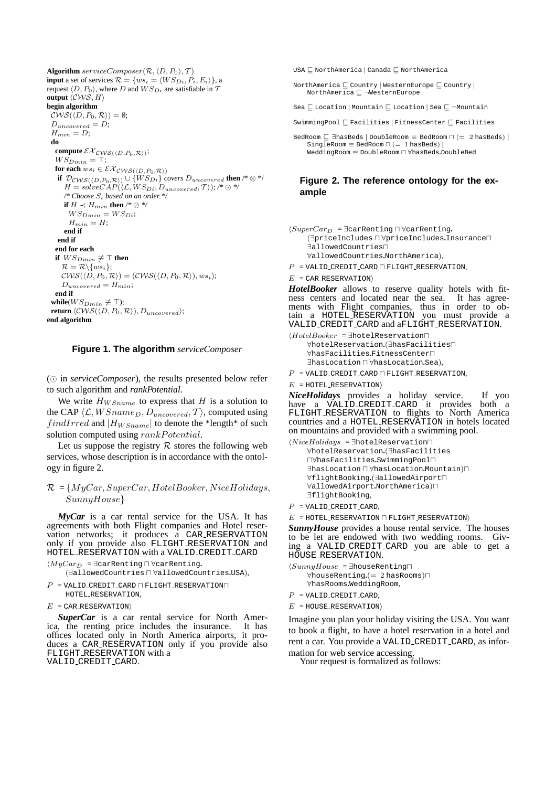```
Algorithm serviceComposer(\mathcal{R}, \langle D, P_0 \rangle, \mathcal{T})
input a set of services \mathcal{R} = \{ws_i = \langle WS_{Di}, P_i, E_i \rangle\}, a
request \langle D, P_0 \rangle, where D and WS_{Di} are satisfiable in T
output \langle \mathcal{CWS}, H \ranglebegin algorithm
 \widetilde{\mathcal{C}}\mathcal{WS}(\langle D, P_0, \mathcal{R}\rangle) = \emptyset;D_{uncovered} = D;H_{min} = D;do
    \mathop{\mathrm{compute}} \mathcal{EX}_{\mathcal{CWS}(\langle D, P_0, \mathcal{R} \rangle)};WS_{Dimin} = T;for each ws_i \in \mathcal{EX}_{\mathcal{CWS}(\langle D, P_0, \mathcal{R} \rangle)}\textbf{if} \,\; \mathcal{D}_{\mathcal{CWS(\langle D,P_0,\mathcal{R}\rangle)}\cup \{WS_{Di}\} } covers D_{uncovered} then /* \otimes */
         H = solveCAP(\langle \mathcal{L}, WS_{Di}, D_{uncovered}, \mathcal{T} \rangle);/* \odot */
        /* Choose Si based on an order */
        if H \prec H_{min} then \text{/}*\oslash\text{/}WS_{Dmin} = WS_{Di};H_{min} = H;end if
     end if
    end for each
    if WS_{Dmin} \neq ⊤ then
       \mathcal{R} = \mathcal{R} \setminus \{ws_i\};CWS(\langle D, P_0, R \rangle) = (CWS(\langle D, P_0, R \rangle), ws_i);D_{uncovered} = H_{min};end if
  \textbf{while}(WS_{Dmin} \not\equiv \top);return \langle CWS(\langle D, P_0, R \rangle), D_{uncovered} \rangle;end algorithm
```
**Figure 1. The algorithm** *serviceComposer*

 $\odot$  in *serviceComposer*), the results presented below refer to such algorithm and *rankPotential*.

We write  $H_{WSname}$  to express that H is a solution to the CAP  $\langle \mathcal{L}, W \mathit{Shame}_D, D_{uncovered}, \mathcal{T} \rangle$ , computed using  $findIrred$  and  $|H_{WSname}|$  to denote the \*length\* of such solution computed using  $rankPotential$ .

Let us suppose the registry  $R$  stores the following web services, whose description is in accordance with the ontology in figure 2.

#### $\mathcal{R} = \{MyCar, SuperCar, HotelBooker, NiceHolidays,$ SunnyHouse}

*MyCar* is a car rental service for the USA. It has agreements with both Flight companies and Hotel reservation networks; it produces a CAR RESERVATION only if you provide also FLIGHT RESERVATION and HOTEL RESERVATION with a VALID CREDIT CARD

```
\langle MyCar_{D} = \exists \text{carRenting } \sqcap \forall \text{carRenting.}
```

```
(∃allowedCountries u ∀allowedCountries.USA),
```

```
P = VALID_CREDIT_CARD \Box FLIGHT_RESERVATION\BoxHOTEL RESERVATION,
```
 $E =$ CAR\_RESERVATION)

**SuperCar** is a car rental service for North Amer-<br>i. the renting price includes the insurance. It has ica, the renting price includes the insurance. offices located only in North America airports, it produces a CAR RESERVATION only if you provide also FLIGHT RESERVATION with a VALID CREDIT CARD.

 $USA \sqsubseteq$  NorthAmerica | Canada  $\sqsubseteq$  NorthAmerica

 $North America \nightharpoonup Country \nightharpoonup WesternEurope \nightharpoonup Country \nightharpoonup$  $N$ orthAmerica  $\Box$  ¬WesternEurope

 $\texttt{Sea} \sqsubset \texttt{Location}$  | Mountain  $\sqsubset \texttt{Location}$  | Sea  $\sqsubset \neg$ Mountain

SwimmingPool  $\sqsubseteq$  Facilities | FitnessCenter  $\sqsubseteq$  Facilities

```
BedRoom \Box ∃hasBeds | DoubleRoom \equiv BedRoom \Box (= 2 hasBeds) |
    SingIekoom \equiv BedRoom \sqcap (= 1 hasBeds)WeddingRoom ≡ DoubleRoom u ∀hasBeds.DoubleBed
```
## **Figure 2. The reference ontology for the example**

 $\langle SuperCar_{D} = \exists \texttt{carRenting} \cap \forall \texttt{carRenting.}$ (∃priceIncludes u ∀priceIncludes**.**Insuranceu ∃allowedCountriesu ∀allowedCountries**.**NorthAmerica),  $P =$  VALID\_CREDIT\_CARD  $\Box$  FLIGHT\_RESERVATION,

 $E =$ CAR\_RESERVATION)

*HotelBooker* allows to reserve quality hotels with fitness centers and located near the sea. It has agreements with Flight companies, thus in order to obtain a HOTEL RESERVATION you must provide a VALID CREDIT CARD and aFLIGHT RESERVATION.

```
\langle HotelBooker = \exists hotelResearch \sqcap∀hotelReservation.(∃hasFacilitiesu
    ∀hasFacilities.FitnessCenteru
    ∃hasLocation u ∀hasLocation.Sea),
```

```
P = VALID_CREDIT_CARD \cap FLIGHT_RESERVATION,
```

```
E = HOTEL_RESERVATION)
```
*NiceHolidays* provides a holiday service. If you have a VALID\_CREDIT\_CARD it provides both a FLIGHT\_RESERVATION to flights to North America countries and a HOTEL RESERVATION in hotels located on mountains and provided with a swimming pool.

```
\langle NiceHolidays = \exists \text{hotelReservation} \sqcap∀hotelReservation.(∃hasFacilities
    u∀hasFacilities.SwimmingPoolu
    ∃hasLocation u ∀hasLocation.Mountain)u
    ∀flightBooking.(∃allowedAirportu
    ∀allowedAirport.MorthAmerica)∃flightBooking,
P =VALID_CREDIT_CARD,
```
 $E =$  HOTEL RESERVATION  $\Box$  FLIGHT RESERVATION)

*SunnyHouse* provides a house rental service. The houses to be let are endowed with two wedding rooms. Giving a VALID CREDIT CARD you are able to get a HOUSE RESERVATION.

```
\Diamond \textit{SunnyHouse} = \exists \text{houseRenting}\forallhouseRenting.(= 2 hasRooms)\Box∀hasRooms.WeddingRoom,
```
 $P =$ VALID\_CREDIT\_CARD,

```
E =HOUSE_RESERVATION)
```
Imagine you plan your holiday visiting the USA. You want to book a flight, to have a hotel reservation in a hotel and rent a car. You provide a VALID CREDIT CARD, as information for web service accessing.

Your request is formalized as follows: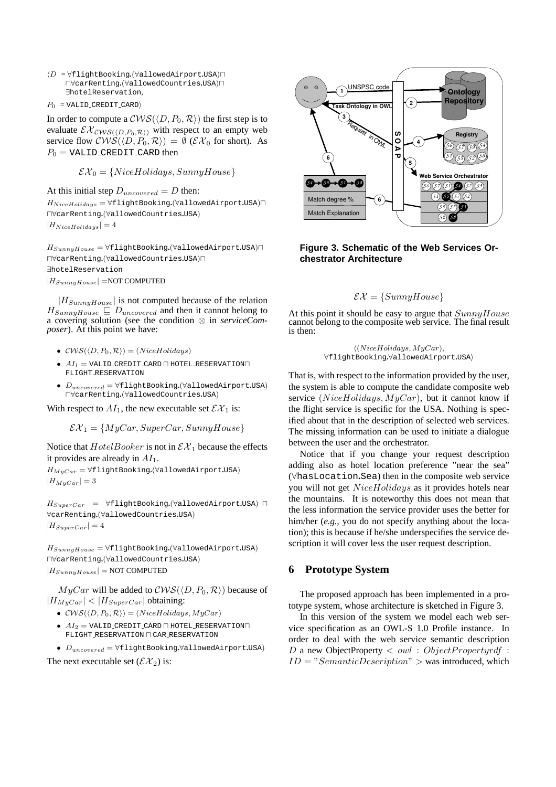hD = ∀flightBooking**.**(∀allowedAirport**.**USA)u u∀carRenting**.**(∀allowedCountries**.**USA)u ∃hotelReservation,

 $P_0$  = VALID\_CREDIT\_CARD)

In order to compute a  $\mathcal{CWS}(\langle D, P_0, \mathcal{R} \rangle)$  the first step is to evaluate  $\mathcal{EX}_{\mathcal{CWS}(\langle D,P_0,\mathcal{R}\rangle)}$  with respect to an empty web service flow  $\mathcal{CWS}(\langle D, P_0, \mathcal{R} \rangle) = \emptyset$  ( $\mathcal{EX}_0$  for short). As  $P_0 =$  VALID\_CREDIT\_CARD then

 $\mathcal{EX}_0 = \{NiceHolidays, SunnyHouse\}$ 

At this initial step  $D_{uncovered} = D$  then:  $H_{NiceHolidays}$  =  $\forall$ flightBooking.( $\forall$ allowedAirport.USA) $\sqcap$ u∀carRenting**.**(∀allowedCountries**.**USA)  $|H_{NiceHolidays}| = 4$ 

 $H_{SunnyHouse} = \forall$ flightBooking.( $\forall$ allowedAirport.USA) $\sqcap$ u∀carRenting**.**(∀allowedCountries**.**USA)u ∃hotelReservation  $|H_{SunnuHouse}|$  =NOT COMPUTED

 $|H_{SunnyHouse}|$  is not computed because of the relation  $H_{SunnyHouse} \subseteq D_{uncovered}$  and then it cannot belong to a covering solution (see the condition ⊗ in *serviceComposer*). At this point we have:

- $CWS(\langle D, P_0, R \rangle) = (NiceHolidays)$
- $AI_1 =$  VALID\_CREDIT\_CARD  $\Box$  HOTEL\_RESERVATION  $\Box$ FLIGHT RESERVATION
- Duncovered = ∀flightBooking**.**(∀allowedAirport**.**USA) u∀carRenting**.**(∀allowedCountries**.**USA)

With respect to  $AI_1$ , the new executable set  $\mathcal{EX}_1$  is:

 $\mathcal{E}X_1 = \{MyCar, SuperCar, SunnyHouse\}$ 

Notice that  $HotelBooker$  is not in  $\mathcal{EX}_1$  because the effects it provides are already in  $AI_1$ .

HMyCar = ∀flightBooking**.**(∀allowedAirport**.**USA)  $|H_{MyCar}| = 3$ 

 $H_{SuperCar}$  =  $\forall$ flightBooking.( $\forall$ allowedAirport.USA)  $\sqcap$ ∀carRenting**.**(∀allowedCountries**.**USA)  $|H_{SuperCar}| = 4$ 

HSunnyHouse = ∀flightBooking**.**(∀allowedAirport**.**USA) u∀carRenting**.**(∀allowedCountries**.**USA)  $|H_{SunnuHouse}|$  = NOT COMPUTED

 $MyCar$  will be added to  $CWS(\langle D, P_0, R \rangle)$  because of  $|H_{MyCar}|$  <  $|H_{SuperCar}|$  obtaining:

- $CWS(\langle D, P_0, R \rangle) = (NiceHolidays, MyCar)$
- $AI_2$  = VALID\_CREDIT\_CARD  $\Box$  HOTEL\_RESERVATION $\Box$ FLIGHT RESERVATION  $\sqcap$  CAR RESERVATION
- Duncovered = ∀flightBooking**.**∀allowedAirport**.**USA)

The next executable set  $(\mathcal{EX}_2)$  is:



**Figure 3. Schematic of the Web Services Orchestrator Architecture**

#### $\mathcal{E}X = \{SunnuHouse\}$

At this point it should be easy to argue that  $SunnyHouse$ cannot belong to the composite web service. The final result is then:

> $\langle (NiceHolidays, MyCar),$ ∀flightBooking**.**∀allowedAirport**.**USAi

That is, with respect to the information provided by the user, the system is able to compute the candidate composite web service (NiceHolidays,  $MyCar$ ), but it cannot know if the flight service is specific for the USA. Nothing is specified about that in the description of selected web services. The missing information can be used to initiate a dialogue between the user and the orchestrator.

Notice that if you change your request description adding also as hotel location preference "near the sea" (∀hasLocation**.**Sea) then in the composite web service you will not get *NiceHolidays* as it provides hotels near the mountains. It is noteworthy this does not mean that the less information the service provider uses the better for him/her (*e.g.*, you do not specify anything about the location); this is because if he/she underspecifies the service description it will cover less the user request description.

# **6 Prototype System**

The proposed approach has been implemented in a prototype system, whose architecture is sketched in Figure 3.

In this version of the system we model each web service specification as an OWL-S 1.0 Profile instance. In order to deal with the web service semantic description D a new ObjectProperty  $\langle \text{owl} : ObjectPropertyed \rangle$ :  $ID = "SemanticDescription" > was introduced, which$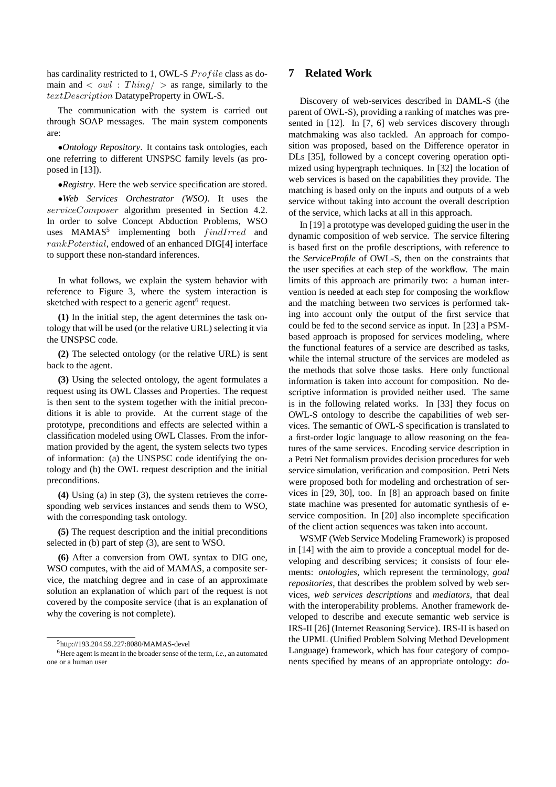has cardinality restricted to 1, OWL-S Profile class as domain and  $\langle$  *owl* : Thing  $\rangle$  is a range, similarly to the textDescription DatatypeProperty in OWL-S.

The communication with the system is carried out through SOAP messages. The main system components are:

•*Ontology Repository*. It contains task ontologies, each one referring to different UNSPSC family levels (as proposed in [13]).

•*Registry*. Here the web service specification are stored.

•*Web Services Orchestrator (WSO)*. It uses the serviceComposer algorithm presented in Section 4.2. In order to solve Concept Abduction Problems, WSO uses  $MAMAS^5$  implementing both  $findIrred$  and  $rankPotential$ , endowed of an enhanced DIG[4] interface to support these non-standard inferences.

In what follows, we explain the system behavior with reference to Figure 3, where the system interaction is sketched with respect to a generic agent<sup>6</sup> request.

**(1)** In the initial step, the agent determines the task ontology that will be used (or the relative URL) selecting it via the UNSPSC code.

**(2)** The selected ontology (or the relative URL) is sent back to the agent.

**(3)** Using the selected ontology, the agent formulates a request using its OWL Classes and Properties. The request is then sent to the system together with the initial preconditions it is able to provide. At the current stage of the prototype, preconditions and effects are selected within a classification modeled using OWL Classes. From the information provided by the agent, the system selects two types of information: (a) the UNSPSC code identifying the ontology and (b) the OWL request description and the initial preconditions.

**(4)** Using (a) in step (3), the system retrieves the corresponding web services instances and sends them to WSO, with the corresponding task ontology.

**(5)** The request description and the initial preconditions selected in (b) part of step (3), are sent to WSO.

**(6)** After a conversion from OWL syntax to DIG one, WSO computes, with the aid of MAMAS, a composite service, the matching degree and in case of an approximate solution an explanation of which part of the request is not covered by the composite service (that is an explanation of why the covering is not complete).

### **7 Related Work**

Discovery of web-services described in DAML-S (the parent of OWL-S), providing a ranking of matches was presented in [12]. In [7, 6] web services discovery through matchmaking was also tackled. An approach for composition was proposed, based on the Difference operator in DLs [35], followed by a concept covering operation optimized using hypergraph techniques. In [32] the location of web services is based on the capabilities they provide. The matching is based only on the inputs and outputs of a web service without taking into account the overall description of the service, which lacks at all in this approach.

In [19] a prototype was developed guiding the user in the dynamic composition of web service. The service filtering is based first on the profile descriptions, with reference to the *ServiceProfile* of OWL-S, then on the constraints that the user specifies at each step of the workflow. The main limits of this approach are primarily two: a human intervention is needed at each step for composing the workflow and the matching between two services is performed taking into account only the output of the first service that could be fed to the second service as input. In [23] a PSMbased approach is proposed for services modeling, where the functional features of a service are described as tasks, while the internal structure of the services are modeled as the methods that solve those tasks. Here only functional information is taken into account for composition. No descriptive information is provided neither used. The same is in the following related works. In [33] they focus on OWL-S ontology to describe the capabilities of web services. The semantic of OWL-S specification is translated to a first-order logic language to allow reasoning on the features of the same services. Encoding service description in a Petri Net formalism provides decision procedures for web service simulation, verification and composition. Petri Nets were proposed both for modeling and orchestration of services in [29, 30], too. In [8] an approach based on finite state machine was presented for automatic synthesis of eservice composition. In [20] also incomplete specification of the client action sequences was taken into account.

WSMF (Web Service Modeling Framework) is proposed in [14] with the aim to provide a conceptual model for developing and describing services; it consists of four elements: *ontologies*, which represent the terminology, *goal repositories*, that describes the problem solved by web services, *web services descriptions* and *mediators*, that deal with the interoperability problems. Another framework developed to describe and execute semantic web service is IRS-II [26] (Internet Reasoning Service). IRS-II is based on the UPML (Unified Problem Solving Method Development Language) framework, which has four category of components specified by means of an appropriate ontology: *do-*

<sup>5</sup>http://193.204.59.227:8080/MAMAS-devel

 ${}^{6}$ Here agent is meant in the broader sense of the term, *i.e.*, an automated one or a human user